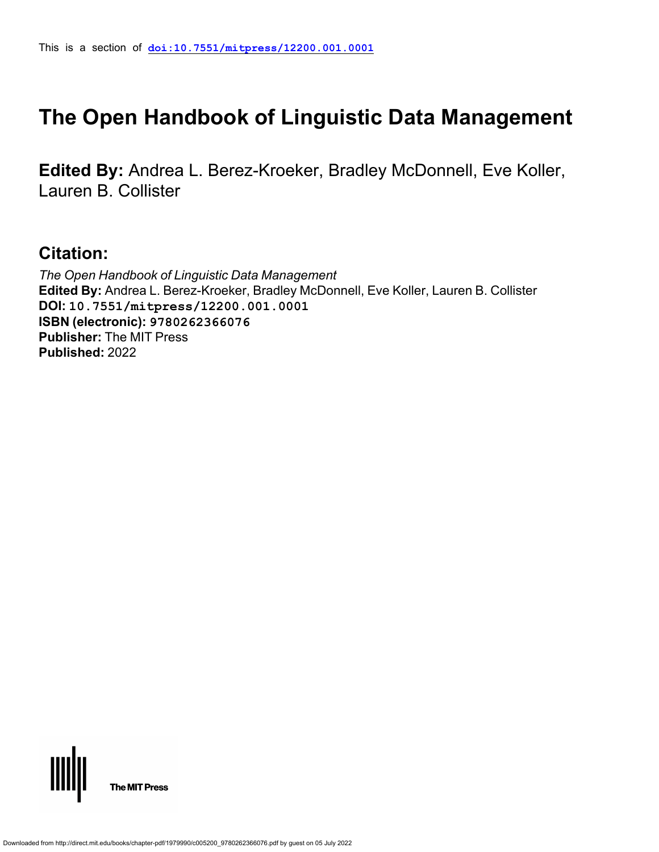# **The Open Handbook of Linguistic Data Management**

**Edited By:** Andrea L. Berez-Kroeker, Bradley McDonnell, Eve Koller, Lauren B. Collister

# **Citation:**

*The Open Handbook of Linguistic Data Management* **Edited By:** Andrea L. Berez-Kroeker, Bradley McDonnell, Eve Koller, Lauren B. Collister **DOI: 10.7551/mitpress/12200.001.0001 ISBN (electronic): 9780262366076 Publisher:** The MIT Press **Published:** 2022



**The MIT Press**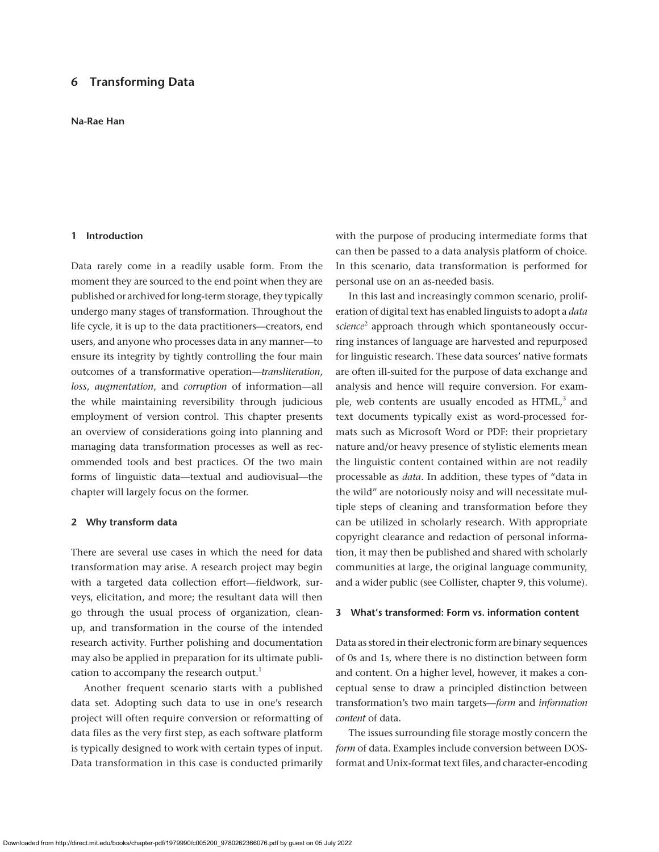# **6 Transforming Data**

**Na-Rae Han**

# **1 Introduction**

Data rarely come in a readily usable form. From the moment they are sourced to the end point when they are published or archived for long-term storage, they typically undergo many stages of transformation. Throughout the life cycle, it is up to the data practitioners—creators, end users, and anyone who processes data in any manner—to ensure its integrity by tightly controlling the four main outcomes of a transformative operation—*transliteration*, *loss*, *augmentation*, and *corruption* of information—all the while maintaining reversibility through judicious employment of version control. This chapter presents an overview of considerations going into planning and managing data transformation processes as well as recommended tools and best practices. Of the two main forms of linguistic data—textual and audiovisual—the chapter will largely focus on the former.

#### **2 Why transform data**

There are several use cases in which the need for data transformation may arise. A research project may begin with a targeted data collection effort—fieldwork, surveys, elicitation, and more; the resultant data will then go through the usual process of organization, cleanup, and transformation in the course of the intended research activity. Further polishing and documentation may also be applied in preparation for its ultimate publication to accompany the research output.<sup>1</sup>

Another frequent scenario starts with a published data set. Adopting such data to use in one's research project will often require conversion or reformatting of data files as the very first step, as each software platform is typically designed to work with certain types of input. Data transformation in this case is conducted primarily

with the purpose of producing intermediate forms that can then be passed to a data analysis platform of choice. In this scenario, data transformation is performed for personal use on an as-needed basis.

In this last and increasingly common scenario, proliferation of digital text has enabled linguists to adopt a *data*  science<sup>2</sup> approach through which spontaneously occurring instances of language are harvested and repurposed for linguistic research. These data sources' native formats are often ill-suited for the purpose of data exchange and analysis and hence will require conversion. For example, web contents are usually encoded as HTML,<sup>3</sup> and text documents typically exist as word-processed formats such as Microsoft Word or PDF: their proprietary nature and/or heavy presence of stylistic elements mean the linguistic content contained within are not readily processable as *data*. In addition, these types of "data in the wild" are notoriously noisy and will necessitate multiple steps of cleaning and transformation before they can be utilized in scholarly research. With appropriate copyright clearance and redaction of personal information, it may then be published and shared with scholarly communities at large, the original language community, and a wider public (see Collister, chapter 9, this volume).

# **3 What's transformed: Form vs. information content**

Data as stored in their electronic form are binary sequences of 0s and 1s, where there is no distinction between form and content. On a higher level, however, it makes a conceptual sense to draw a principled distinction between transformation's two main targets—*form* and *information content* of data.

The issues surrounding file storage mostly concern the *form* of data. Examples include conversion between DOSformat and Unix-format text files, and character-encoding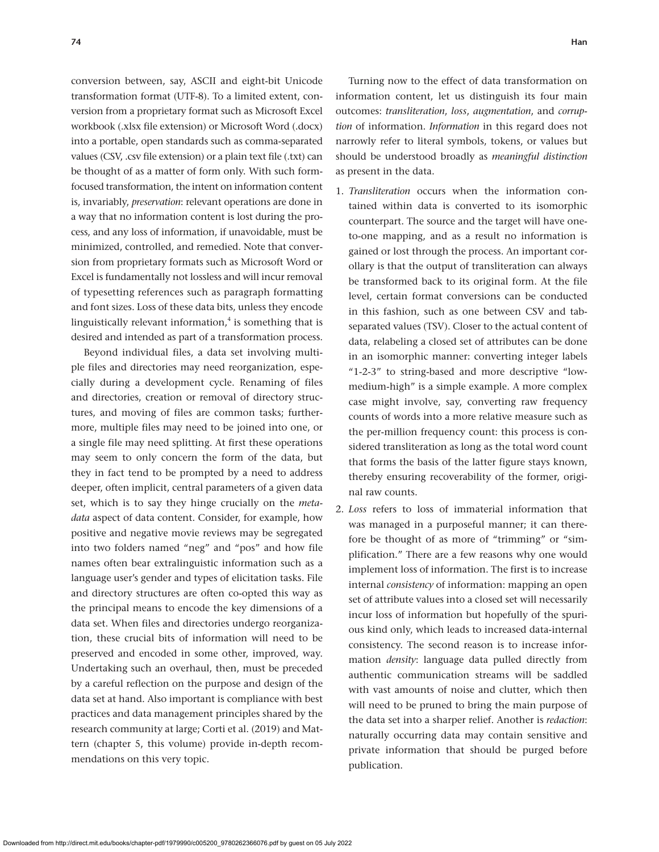conversion between, say, ASCII and eight-bit Unicode transformation format (UTF-8). To a limited extent, conversion from a proprietary format such as Microsoft Excel workbook (.xlsx file extension) or Microsoft Word (.docx) into a portable, open standards such as comma-separated values (CSV, .csv file extension) or a plain text file (.txt) can be thought of as a matter of form only. With such formfocused transformation, the intent on information content is, invariably, *preservation*: relevant operations are done in a way that no information content is lost during the process, and any loss of information, if unavoidable, must be minimized, controlled, and remedied. Note that conversion from proprietary formats such as Microsoft Word or Excel is fundamentally not lossless and will incur removal of typesetting references such as paragraph formatting and font sizes. Loss of these data bits, unless they encode linguistically relevant information,<sup>4</sup> is something that is desired and intended as part of a transformation process.

Beyond individual files, a data set involving multiple files and directories may need reorganization, especially during a development cycle. Renaming of files and directories, creation or removal of directory structures, and moving of files are common tasks; furthermore, multiple files may need to be joined into one, or a single file may need splitting. At first these operations may seem to only concern the form of the data, but they in fact tend to be prompted by a need to address deeper, often implicit, central parameters of a given data set, which is to say they hinge crucially on the *metadata* aspect of data content. Consider, for example, how positive and negative movie reviews may be segregated into two folders named "neg" and "pos" and how file names often bear extralinguistic information such as a language user's gender and types of elicitation tasks. File and directory structures are often co-opted this way as the principal means to encode the key dimensions of a data set. When files and directories undergo reorganization, these crucial bits of information will need to be preserved and encoded in some other, improved, way. Undertaking such an overhaul, then, must be preceded by a careful reflection on the purpose and design of the data set at hand. Also important is compliance with best practices and data management principles shared by the research community at large; Corti et al. (2019) and Mattern (chapter 5, this volume) provide in-depth recommendations on this very topic.

Turning now to the effect of data transformation on information content, let us distinguish its four main outcomes: *transliteration*, *loss*, *augmentation*, and *corruption* of information. *Information* in this regard does not narrowly refer to literal symbols, tokens, or values but should be understood broadly as *meaningful distinction* as present in the data.

- 1. *Transliteration* occurs when the information contained within data is converted to its isomorphic counterpart. The source and the target will have oneto-one mapping, and as a result no information is gained or lost through the process. An important corollary is that the output of transliteration can always be transformed back to its original form. At the file level, certain format conversions can be conducted in this fashion, such as one between CSV and tabseparated values (TSV). Closer to the actual content of data, relabeling a closed set of attributes can be done in an isomorphic manner: converting integer labels "1-2-3" to string-based and more descriptive "lowmedium-high" is a simple example. A more complex case might involve, say, converting raw frequency counts of words into a more relative measure such as the per-million frequency count: this process is considered transliteration as long as the total word count that forms the basis of the latter figure stays known, thereby ensuring recoverability of the former, original raw counts.
- 2. *Loss* refers to loss of immaterial information that was managed in a purposeful manner; it can therefore be thought of as more of "trimming" or "simplification." There are a few reasons why one would implement loss of information. The first is to increase internal *consistency* of information: mapping an open set of attribute values into a closed set will necessarily incur loss of information but hopefully of the spurious kind only, which leads to increased data-internal consistency. The second reason is to increase information *density*: language data pulled directly from authentic communication streams will be saddled with vast amounts of noise and clutter, which then will need to be pruned to bring the main purpose of the data set into a sharper relief. Another is *redaction*: naturally occurring data may contain sensitive and private information that should be purged before publication.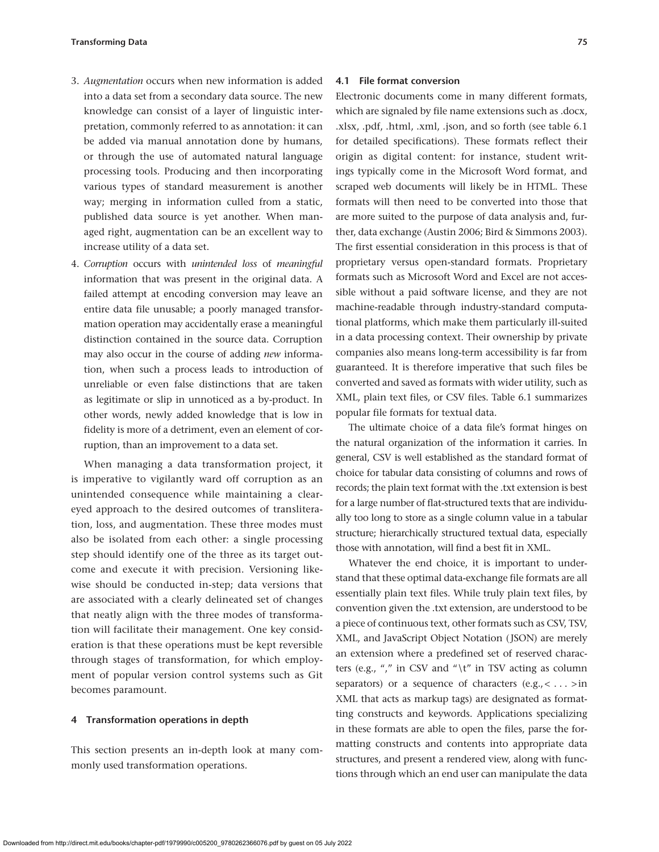- 3. *Augmentation* occurs when new information is added into a data set from a secondary data source. The new knowledge can consist of a layer of linguistic interpretation, commonly referred to as annotation: it can be added via manual annotation done by humans, or through the use of automated natural language processing tools. Producing and then incorporating various types of standard measurement is another way; merging in information culled from a static, published data source is yet another. When managed right, augmentation can be an excellent way to increase utility of a data set.
- 4. *Corruption* occurs with *unintended loss* of *meaningful* information that was present in the original data. A failed attempt at encoding conversion may leave an entire data file unusable; a poorly managed transformation operation may accidentally erase a meaningful distinction contained in the source data. Corruption may also occur in the course of adding *new* information, when such a process leads to introduction of unreliable or even false distinctions that are taken as legitimate or slip in unnoticed as a by-product. In other words, newly added knowledge that is low in fidelity is more of a detriment, even an element of corruption, than an improvement to a data set.

When managing a data transformation project, it is imperative to vigilantly ward off corruption as an unintended consequence while maintaining a cleareyed approach to the desired outcomes of transliteration, loss, and augmentation. These three modes must also be isolated from each other: a single processing step should identify one of the three as its target outcome and execute it with precision. Versioning likewise should be conducted in-step; data versions that are associated with a clearly delineated set of changes that neatly align with the three modes of transformation will facilitate their management. One key consideration is that these operations must be kept reversible through stages of transformation, for which employment of popular version control systems such as Git becomes paramount.

#### **4 Transformation operations in depth**

This section presents an in-depth look at many commonly used transformation operations.

## **4.1 File format conversion**

Electronic documents come in many different formats, which are signaled by file name extensions such as .docx, .xlsx, .pdf, .html, .xml, .json, and so forth (see table 6.1 for detailed specifications). These formats reflect their origin as digital content: for instance, student writings typically come in the Microsoft Word format, and scraped web documents will likely be in HTML. These formats will then need to be converted into those that are more suited to the purpose of data analysis and, further, data exchange (Austin 2006; Bird & Simmons 2003). The first essential consideration in this process is that of proprietary versus open-standard formats. Proprietary formats such as Microsoft Word and Excel are not accessible without a paid software license, and they are not machine-readable through industry-standard computational platforms, which make them particularly ill-suited in a data processing context. Their ownership by private companies also means long-term accessibility is far from guaranteed. It is therefore imperative that such files be converted and saved as formats with wider utility, such as XML, plain text files, or CSV files. Table 6.1 summarizes popular file formats for textual data.

The ultimate choice of a data file's format hinges on the natural organization of the information it carries. In general, CSV is well established as the standard format of choice for tabular data consisting of columns and rows of records; the plain text format with the .txt extension is best for a large number of flat-structured texts that are individually too long to store as a single column value in a tabular structure; hierarchically structured textual data, especially those with annotation, will find a best fit in XML.

Whatever the end choice, it is important to understand that these optimal data-exchange file formats are all essentially plain text files. While truly plain text files, by convention given the .txt extension, are understood to be a piece of continuous text, other formats such as CSV, TSV, XML, and JavaScript Object Notation (JSON) are merely an extension where a predefined set of reserved characters (e.g., "," in CSV and " $\t t$ " in TSV acting as column separators) or a sequence of characters  $(e.g., < ... > in$ XML that acts as markup tags) are designated as formatting constructs and keywords. Applications specializing in these formats are able to open the files, parse the formatting constructs and contents into appropriate data structures, and present a rendered view, along with functions through which an end user can manipulate the data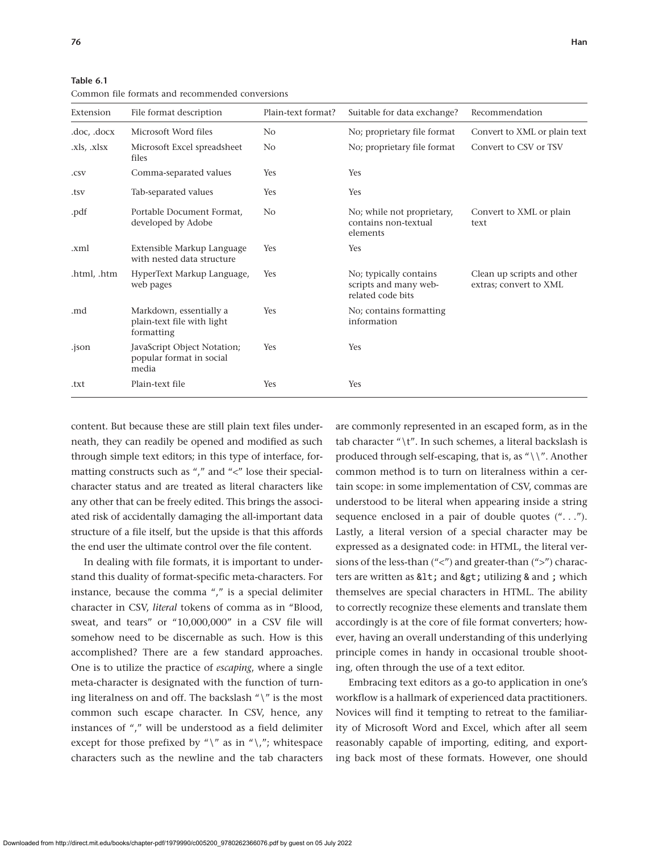| Extension   | File format description                                             | Plain-text format? | Suitable for data exchange?                                          | Recommendation                                       |
|-------------|---------------------------------------------------------------------|--------------------|----------------------------------------------------------------------|------------------------------------------------------|
| .doc, .docx | Microsoft Word files                                                | N <sub>o</sub>     | No; proprietary file format                                          | Convert to XML or plain text                         |
| xls, xlsx.  | Microsoft Excel spreadsheet<br>files                                | No                 | No; proprietary file format                                          | Convert to CSV or TSV                                |
| .csv        | Comma-separated values                                              | Yes                | Yes                                                                  |                                                      |
| .tsv        | Tab-separated values                                                | Yes                | Yes                                                                  |                                                      |
| .pdf        | Portable Document Format,<br>developed by Adobe                     | N <sub>0</sub>     | No; while not proprietary,<br>contains non-textual<br>elements       | Convert to XML or plain<br>text                      |
| .xml        | Extensible Markup Language<br>with nested data structure            | Yes                | Yes                                                                  |                                                      |
| .html, .htm | HyperText Markup Language,<br>web pages                             | Yes                | No; typically contains<br>scripts and many web-<br>related code bits | Clean up scripts and other<br>extras; convert to XML |
| .md         | Markdown, essentially a<br>plain-text file with light<br>formatting | Yes                | No; contains formatting<br>information                               |                                                      |
| .json       | JavaScript Object Notation;<br>popular format in social<br>media    | Yes                | Yes                                                                  |                                                      |
| .txt        | Plain-text file                                                     | Yes                | Yes                                                                  |                                                      |

**Table 6.1** Common file formats and recommended conversions

content. But because these are still plain text files underneath, they can readily be opened and modified as such through simple text editors; in this type of interface, formatting constructs such as "," and "<" lose their specialcharacter status and are treated as literal characters like any other that can be freely edited. This brings the associated risk of accidentally damaging the all-important data structure of a file itself, but the upside is that this affords the end user the ultimate control over the file content.

In dealing with file formats, it is important to understand this duality of format-specific meta-characters. For instance, because the comma "," is a special delimiter character in CSV, *literal* tokens of comma as in "Blood, sweat, and tears" or "10,000,000" in a CSV file will somehow need to be discernable as such. How is this accomplished? There are a few standard approaches. One is to utilize the practice of *escaping*, where a single meta-character is designated with the function of turning literalness on and off. The backslash " $\gamma$ " is the most common such escape character. In CSV, hence, any instances of "," will be understood as a field delimiter except for those prefixed by " $\Upsilon$ " as in " $\Upsilon$ "; whitespace characters such as the newline and the tab characters

are commonly represented in an escaped form, as in the tab character "\t". In such schemes, a literal backslash is produced through self-escaping, that is, as " $\setminus$ ". Another common method is to turn on literalness within a certain scope: in some implementation of CSV, commas are understood to be literal when appearing inside a string sequence enclosed in a pair of double quotes  $($ "..."). Lastly, a literal version of a special character may be expressed as a designated code: in HTML, the literal versions of the less-than  $("<")$  and greater-than  $(">")$  characters are written as &1t; and > utilizing & and; which themselves are special characters in HTML. The ability to correctly recognize these elements and translate them accordingly is at the core of file format converters; however, having an overall understanding of this underlying principle comes in handy in occasional trouble shooting, often through the use of a text editor.

Embracing text editors as a go-to application in one's workflow is a hallmark of experienced data practitioners. Novices will find it tempting to retreat to the familiarity of Microsoft Word and Excel, which after all seem reasonably capable of importing, editing, and exporting back most of these formats. However, one should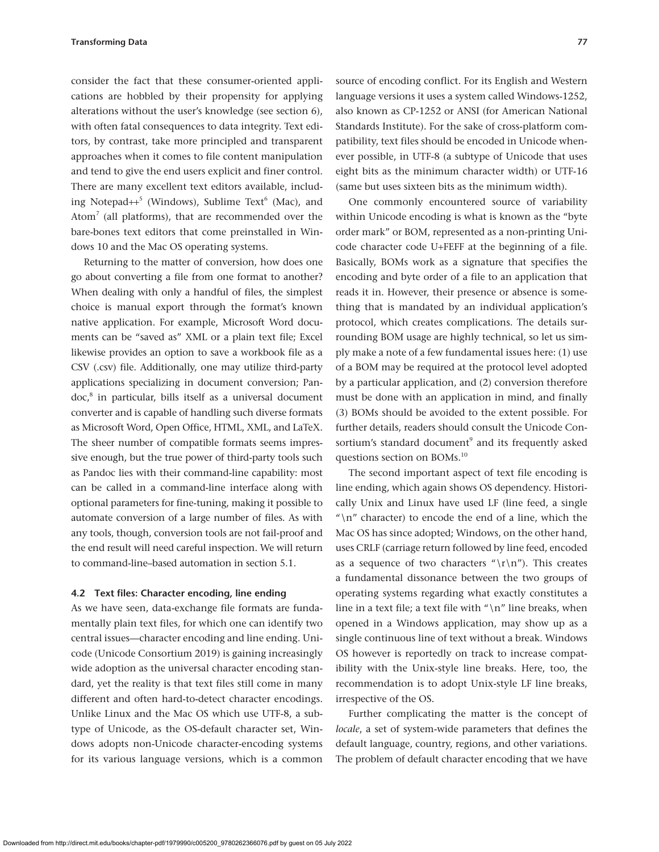consider the fact that these consumer-oriented applications are hobbled by their propensity for applying alterations without the user's knowledge (see section 6), with often fatal consequences to data integrity. Text editors, by contrast, take more principled and transparent approaches when it comes to file content manipulation and tend to give the end users explicit and finer control. There are many excellent text editors available, including Notepad $++^5$  (Windows), Sublime Text $^6$  (Mac), and Atom<sup>7</sup> (all platforms), that are recommended over the bare-bones text editors that come preinstalled in Windows 10 and the Mac OS operating systems.

Returning to the matter of conversion, how does one go about converting a file from one format to another? When dealing with only a handful of files, the simplest choice is manual export through the format's known native application. For example, Microsoft Word documents can be "saved as" XML or a plain text file; Excel likewise provides an option to save a workbook file as a CSV (.csv) file. Additionally, one may utilize third-party applications specializing in document conversion; Pandoc,<sup>8</sup> in particular, bills itself as a universal document converter and is capable of handling such diverse formats as Microsoft Word, Open Office, HTML, XML, and LaTeX. The sheer number of compatible formats seems impressive enough, but the true power of third-party tools such as Pandoc lies with their command-line capability: most can be called in a command-line interface along with optional parameters for fine-tuning, making it possible to automate conversion of a large number of files. As with any tools, though, conversion tools are not fail-proof and the end result will need careful inspection. We will return to command-line–based automation in section 5.1.

#### **4.2 Text files: Character encoding, line ending**

As we have seen, data-exchange file formats are fundamentally plain text files, for which one can identify two central issues—character encoding and line ending. Unicode (Unicode Consortium 2019) is gaining increasingly wide adoption as the universal character encoding standard, yet the reality is that text files still come in many different and often hard-to-detect character encodings. Unlike Linux and the Mac OS which use UTF-8, a subtype of Unicode, as the OS-default character set, Windows adopts non-Unicode character-encoding systems for its various language versions, which is a common

source of encoding conflict. For its English and Western language versions it uses a system called Windows-1252, also known as CP-1252 or ANSI (for American National Standards Institute). For the sake of cross-platform compatibility, text files should be encoded in Unicode whenever possible, in UTF-8 (a subtype of Unicode that uses eight bits as the minimum character width) or UTF-16 (same but uses sixteen bits as the minimum width).

One commonly encountered source of variability within Unicode encoding is what is known as the "byte order mark" or BOM, represented as a non-printing Unicode character code U+FEFF at the beginning of a file. Basically, BOMs work as a signature that specifies the encoding and byte order of a file to an application that reads it in. However, their presence or absence is something that is mandated by an individual application's protocol, which creates complications. The details surrounding BOM usage are highly technical, so let us simply make a note of a few fundamental issues here: (1) use of a BOM may be required at the protocol level adopted by a particular application, and (2) conversion therefore must be done with an application in mind, and finally (3) BOMs should be avoided to the extent possible. For further details, readers should consult the Unicode Consortium's standard document<sup>9</sup> and its frequently asked questions section on BOMs.<sup>10</sup>

The second important aspect of text file encoding is line ending, which again shows OS dependency. Historically Unix and Linux have used LF (line feed, a single " $\ln$ " character) to encode the end of a line, which the Mac OS has since adopted; Windows, on the other hand, uses CRLF (carriage return followed by line feed, encoded as a sequence of two characters " $\lceil \n\cdot \rceil$ "). This creates a fundamental dissonance between the two groups of operating systems regarding what exactly constitutes a line in a text file; a text file with " $\n\cdot$ " line breaks, when opened in a Windows application, may show up as a single continuous line of text without a break. Windows OS however is reportedly on track to increase compatibility with the Unix-style line breaks. Here, too, the recommendation is to adopt Unix-style LF line breaks, irrespective of the OS.

Further complicating the matter is the concept of *locale*, a set of system-wide parameters that defines the default language, country, regions, and other variations. The problem of default character encoding that we have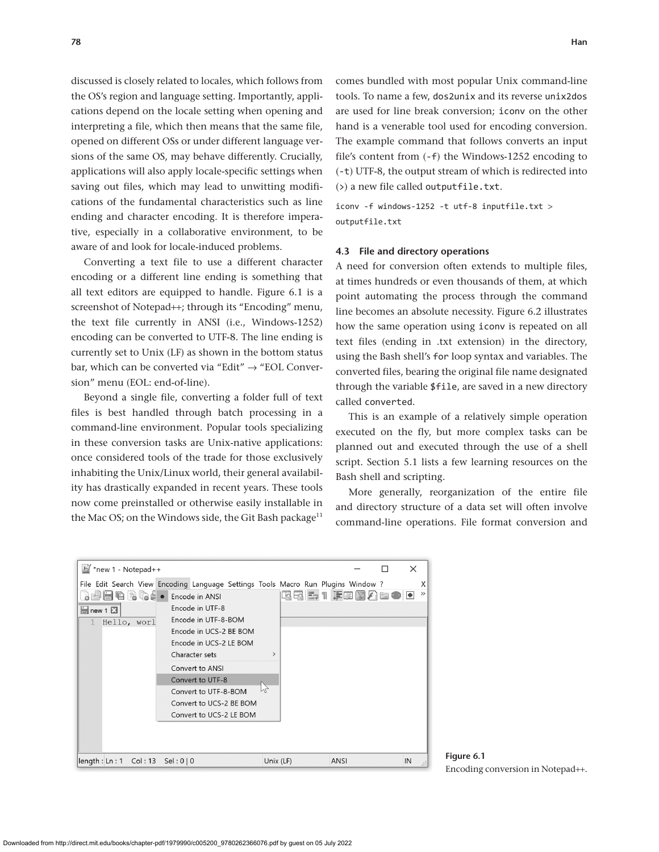discussed is closely related to locales, which follows from the OS's region and language setting. Importantly, applications depend on the locale setting when opening and interpreting a file, which then means that the same file, opened on different OSs or under different language versions of the same OS, may behave differently. Crucially, applications will also apply locale-specific settings when saving out files, which may lead to unwitting modifications of the fundamental characteristics such as line ending and character encoding. It is therefore imperative, especially in a collaborative environment, to be aware of and look for locale-induced problems.

Converting a text file to use a different character encoding or a different line ending is something that all text editors are equipped to handle. Figure 6.1 is a screenshot of Notepad++; through its "Encoding" menu, the text file currently in ANSI (i.e., Windows-1252) encoding can be converted to UTF-8. The line ending is currently set to Unix (LF) as shown in the bottom status bar, which can be converted via "Edit"  $\rightarrow$  "EOL Conversion" menu (EOL: end-of-line).

Beyond a single file, converting a folder full of text files is best handled through batch processing in a command-line environment. Popular tools specializing in these conversion tasks are Unix-native applications: once considered tools of the trade for those exclusively inhabiting the Unix/Linux world, their general availability has drastically expanded in recent years. These tools now come preinstalled or otherwise easily installable in the Mac OS; on the Windows side, the Git Bash package<sup>11</sup>

comes bundled with most popular Unix command-line tools. To name a few, dos2unix and its reverse unix2dos are used for line break conversion; iconv on the other hand is a venerable tool used for encoding conversion. The example command that follows converts an input file's content from (-f) the Windows-1252 encoding to (-t) UTF-8, the output stream of which is redirected into (>) a new file called outputfile.txt.

iconv -f windows-1252 -t utf-8 inputfile.txt > outputfile.txt

#### **4.3 File and directory operations**

A need for conversion often extends to multiple files, at times hundreds or even thousands of them, at which point automating the process through the command line becomes an absolute necessity. Figure 6.2 illustrates how the same operation using iconv is repeated on all text files (ending in .txt extension) in the directory, using the Bash shell's for loop syntax and variables. The converted files, bearing the original file name designated through the variable \$file, are saved in a new directory called converted.

This is an example of a relatively simple operation executed on the fly, but more complex tasks can be planned out and executed through the use of a shell script. Section 5.1 lists a few learning resources on the Bash shell and scripting.

More generally, reorganization of the entire file and directory structure of a data set will often involve command-line operations. File format conversion and



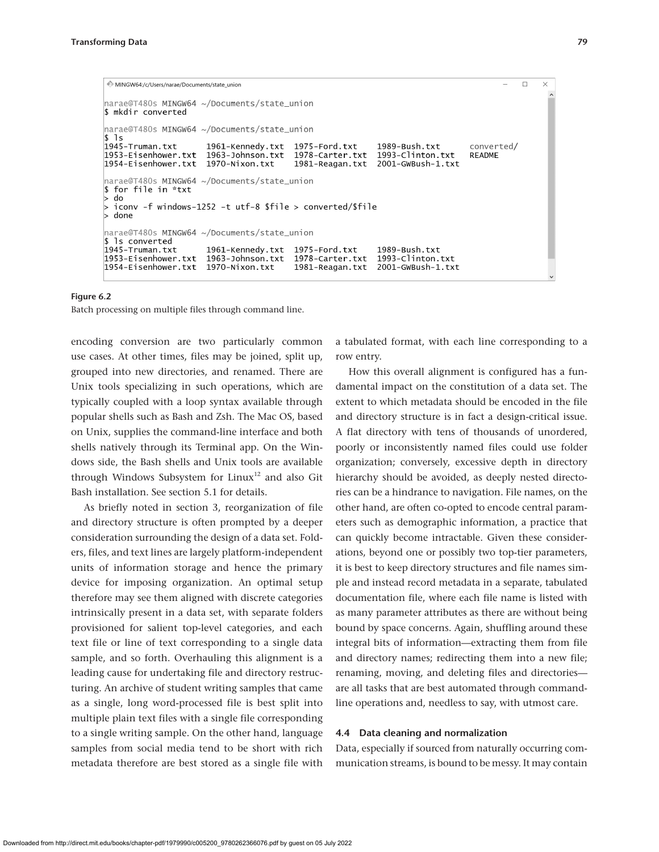```
MINGW64:/c/Users/narae/Documents/state_union
                                                                                          \Boxnarae@T480s MINGW64 ~/Documents/state_union
$ mkdir converted
narae@T480s MINGW64 ~/Documents/state_union
s<sub>1s</sub>1945-Truman.txt
                                        1975-Ford.txt
                      1961-Kennedy.txt
                                                           1989 - Rush.txtconverted/
1953-Eisenhower.txt
                      1963-Johnson.txt
                                        1978-Carter.txt
                                                          1993-Clinton.txt
                                                                               README
1954-Eisenhower.txt
                     1970-Nixon.txt
                                         1981-Reagan.txt
                                                          2001-GWBush-1.txt
narae@T480s MINGW64 ~/Documents/state_union
$ for file in *txt
  do
>iconv -f windows-1252 -t utf-8 $file > converted/$filedone
narae@T480s MINGW64 ~/Documents/state_union
$ 1s converted
1945-Truman.txt
                      1961-Kennedy.txt
                                         1975-Ford.txt
                                                           1989-Bush.txt
                                        1978-Carter.txt
1953-Eisenhower.txt
                     1963-Johnson.txt
                                                          1993-Clinton.txt
                     1970-Nixon.txt
1954-Eisenhower.txt
                                         1981-Reagan.txt
                                                          2001-GWBush-1.txt
```
#### **Figure 6.2**

Batch processing on multiple files through command line.

encoding conversion are two particularly common use cases. At other times, files may be joined, split up, grouped into new directories, and renamed. There are Unix tools specializing in such operations, which are typically coupled with a loop syntax available through popular shells such as Bash and Zsh. The Mac OS, based on Unix, supplies the command-line interface and both shells natively through its Terminal app. On the Windows side, the Bash shells and Unix tools are available through Windows Subsystem for  $Linux<sup>12</sup>$  and also Git Bash installation. See section 5.1 for details.

As briefly noted in section 3, reorganization of file and directory structure is often prompted by a deeper consideration surrounding the design of a data set. Folders, files, and text lines are largely platform-independent units of information storage and hence the primary device for imposing organization. An optimal setup therefore may see them aligned with discrete categories intrinsically present in a data set, with separate folders provisioned for salient top-level categories, and each text file or line of text corresponding to a single data sample, and so forth. Overhauling this alignment is a leading cause for undertaking file and directory restructuring. An archive of student writing samples that came as a single, long word-processed file is best split into multiple plain text files with a single file corresponding to a single writing sample. On the other hand, language samples from social media tend to be short with rich metadata therefore are best stored as a single file with

a tabulated format, with each line corresponding to a row entry.

How this overall alignment is configured has a fundamental impact on the constitution of a data set. The extent to which metadata should be encoded in the file and directory structure is in fact a design-critical issue. A flat directory with tens of thousands of unordered, poorly or inconsistently named files could use folder organization; conversely, excessive depth in directory hierarchy should be avoided, as deeply nested directories can be a hindrance to navigation. File names, on the other hand, are often co-opted to encode central parameters such as demographic information, a practice that can quickly become intractable. Given these considerations, beyond one or possibly two top-tier parameters, it is best to keep directory structures and file names simple and instead record metadata in a separate, tabulated documentation file, where each file name is listed with as many parameter attributes as there are without being bound by space concerns. Again, shuffling around these integral bits of information—extracting them from file and directory names; redirecting them into a new file; renaming, moving, and deleting files and directories are all tasks that are best automated through commandline operations and, needless to say, with utmost care.

#### **4.4 Data cleaning and normalization**

Data, especially if sourced from naturally occurring communication streams, is bound to be messy. It may contain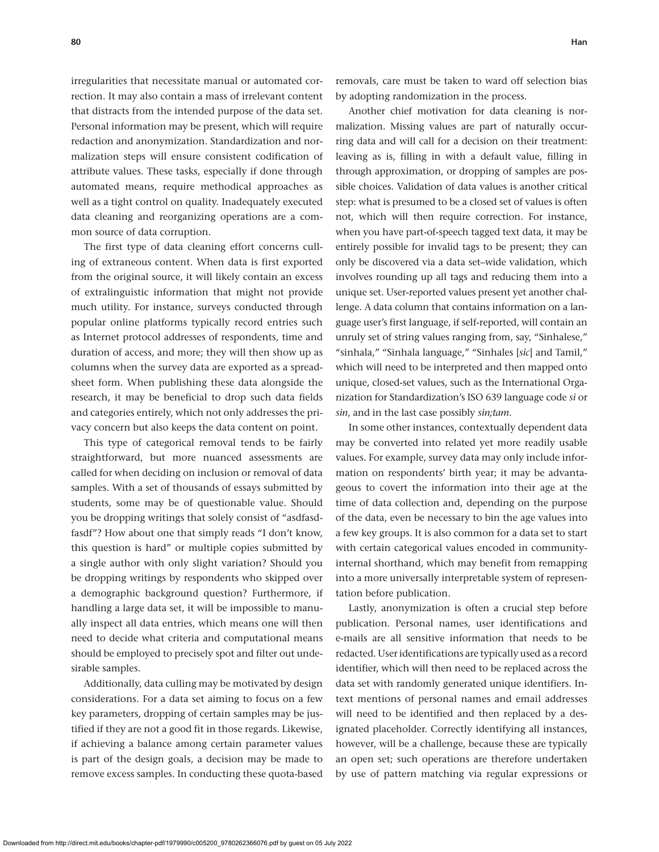irregularities that necessitate manual or automated correction. It may also contain a mass of irrelevant content that distracts from the intended purpose of the data set. Personal information may be present, which will require redaction and anonymization. Standardization and normalization steps will ensure consistent codification of attribute values. These tasks, especially if done through automated means, require methodical approaches as well as a tight control on quality. Inadequately executed data cleaning and reorganizing operations are a common source of data corruption.

The first type of data cleaning effort concerns culling of extraneous content. When data is first exported from the original source, it will likely contain an excess of extralinguistic information that might not provide much utility. For instance, surveys conducted through popular online platforms typically record entries such as Internet protocol addresses of respondents, time and duration of access, and more; they will then show up as columns when the survey data are exported as a spreadsheet form. When publishing these data alongside the research, it may be beneficial to drop such data fields and categories entirely, which not only addresses the privacy concern but also keeps the data content on point.

This type of categorical removal tends to be fairly straightforward, but more nuanced assessments are called for when deciding on inclusion or removal of data samples. With a set of thousands of essays submitted by students, some may be of questionable value. Should you be dropping writings that solely consist of "asdfasdfasdf"? How about one that simply reads "I don't know, this question is hard" or multiple copies submitted by a single author with only slight variation? Should you be dropping writings by respondents who skipped over a demographic background question? Furthermore, if handling a large data set, it will be impossible to manually inspect all data entries, which means one will then need to decide what criteria and computational means should be employed to precisely spot and filter out undesirable samples.

Additionally, data culling may be motivated by design considerations. For a data set aiming to focus on a few key parameters, dropping of certain samples may be justified if they are not a good fit in those regards. Likewise, if achieving a balance among certain parameter values is part of the design goals, a decision may be made to remove excess samples. In conducting these quota-based

removals, care must be taken to ward off selection bias by adopting randomization in the process.

Another chief motivation for data cleaning is normalization. Missing values are part of naturally occurring data and will call for a decision on their treatment: leaving as is, filling in with a default value, filling in through approximation, or dropping of samples are possible choices. Validation of data values is another critical step: what is presumed to be a closed set of values is often not, which will then require correction. For instance, when you have part-of-speech tagged text data, it may be entirely possible for invalid tags to be present; they can only be discovered via a data set–wide validation, which involves rounding up all tags and reducing them into a unique set. User-reported values present yet another challenge. A data column that contains information on a language user's first language, if self-reported, will contain an unruly set of string values ranging from, say, "Sinhalese," "sinhala," "Sinhala language," "Sinhales [*sic*] and Tamil," which will need to be interpreted and then mapped onto unique, closed-set values, such as the International Organization for Standardization's ISO 639 language code *si* or *sin*, and in the last case possibly *sin;tam*.

In some other instances, contextually dependent data may be converted into related yet more readily usable values. For example, survey data may only include information on respondents' birth year; it may be advantageous to covert the information into their age at the time of data collection and, depending on the purpose of the data, even be necessary to bin the age values into a few key groups. It is also common for a data set to start with certain categorical values encoded in communityinternal shorthand, which may benefit from remapping into a more universally interpretable system of representation before publication.

Lastly, anonymization is often a crucial step before publication. Personal names, user identifications and e-mails are all sensitive information that needs to be redacted. User identifications are typically used as a record identifier, which will then need to be replaced across the data set with randomly generated unique identifiers. Intext mentions of personal names and email addresses will need to be identified and then replaced by a designated placeholder. Correctly identifying all instances, however, will be a challenge, because these are typically an open set; such operations are therefore undertaken by use of pattern matching via regular expressions or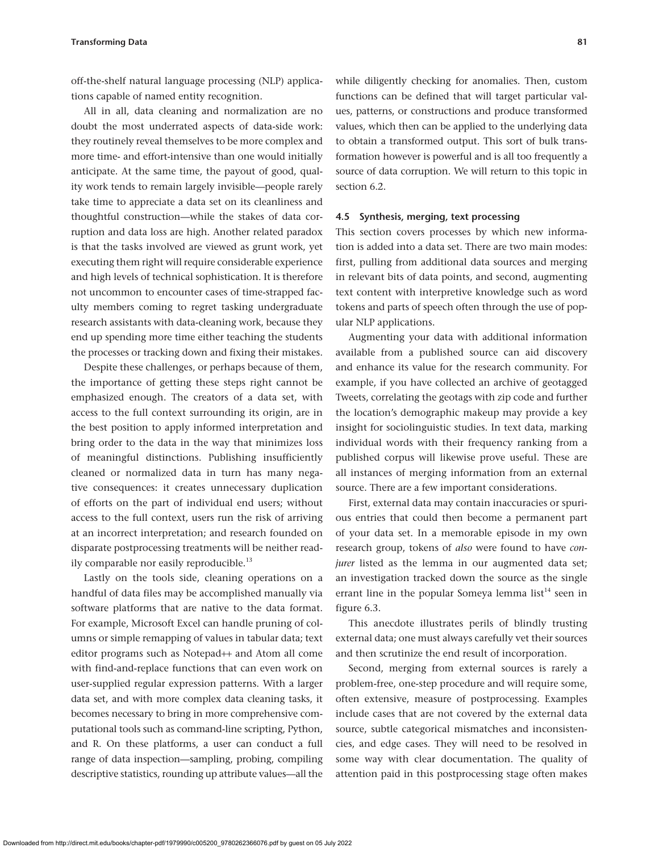off-the-shelf natural language processing (NLP) applications capable of named entity recognition.

All in all, data cleaning and normalization are no doubt the most underrated aspects of data-side work: they routinely reveal themselves to be more complex and more time- and effort-intensive than one would initially anticipate. At the same time, the payout of good, quality work tends to remain largely invisible—people rarely take time to appreciate a data set on its cleanliness and thoughtful construction—while the stakes of data corruption and data loss are high. Another related paradox is that the tasks involved are viewed as grunt work, yet executing them right will require considerable experience and high levels of technical sophistication. It is therefore not uncommon to encounter cases of time-strapped faculty members coming to regret tasking undergraduate research assistants with data-cleaning work, because they end up spending more time either teaching the students the processes or tracking down and fixing their mistakes.

Despite these challenges, or perhaps because of them, the importance of getting these steps right cannot be emphasized enough. The creators of a data set, with access to the full context surrounding its origin, are in the best position to apply informed interpretation and bring order to the data in the way that minimizes loss of meaningful distinctions. Publishing insufficiently cleaned or normalized data in turn has many negative consequences: it creates unnecessary duplication of efforts on the part of individual end users; without access to the full context, users run the risk of arriving at an incorrect interpretation; and research founded on disparate postprocessing treatments will be neither readily comparable nor easily reproducible.<sup>13</sup>

Lastly on the tools side, cleaning operations on a handful of data files may be accomplished manually via software platforms that are native to the data format. For example, Microsoft Excel can handle pruning of columns or simple remapping of values in tabular data; text editor programs such as Notepad++ and Atom all come with find-and-replace functions that can even work on user-supplied regular expression patterns. With a larger data set, and with more complex data cleaning tasks, it becomes necessary to bring in more comprehensive computational tools such as command-line scripting, Python, and R. On these platforms, a user can conduct a full range of data inspection—sampling, probing, compiling descriptive statistics, rounding up attribute values—all the

while diligently checking for anomalies. Then, custom functions can be defined that will target particular values, patterns, or constructions and produce transformed values, which then can be applied to the underlying data to obtain a transformed output. This sort of bulk transformation however is powerful and is all too frequently a source of data corruption. We will return to this topic in section 6.2.

# **4.5 Synthesis, merging, text processing**

This section covers processes by which new information is added into a data set. There are two main modes: first, pulling from additional data sources and merging in relevant bits of data points, and second, augmenting text content with interpretive knowledge such as word tokens and parts of speech often through the use of popular NLP applications.

Augmenting your data with additional information available from a published source can aid discovery and enhance its value for the research community. For example, if you have collected an archive of geotagged Tweets, correlating the geotags with zip code and further the location's demographic makeup may provide a key insight for sociolinguistic studies. In text data, marking individual words with their frequency ranking from a published corpus will likewise prove useful. These are all instances of merging information from an external source. There are a few important considerations.

First, external data may contain inaccuracies or spurious entries that could then become a permanent part of your data set. In a memorable episode in my own research group, tokens of *also* were found to have *conjurer* listed as the lemma in our augmented data set; an investigation tracked down the source as the single errant line in the popular Someya lemma list<sup>14</sup> seen in figure 6.3.

This anecdote illustrates perils of blindly trusting external data; one must always carefully vet their sources and then scrutinize the end result of incorporation.

Second, merging from external sources is rarely a problem-free, one-step procedure and will require some, often extensive, measure of postprocessing. Examples include cases that are not covered by the external data source, subtle categorical mismatches and inconsistencies, and edge cases. They will need to be resolved in some way with clear documentation. The quality of attention paid in this postprocessing stage often makes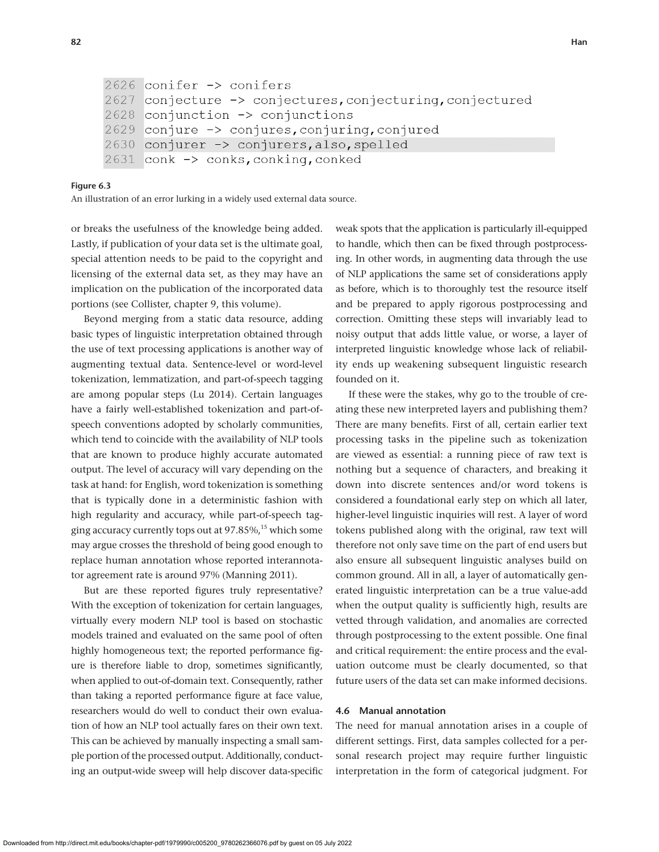```
2626 conifer -> conifers
2627 conjecture -> conjectures, conjecturing, conjectured
2628 conjunction \rightarrow conjunctions
2629 conjure \rightarrow conjures, conjuring, conjured
2630 conjurer -> conjurers, also, spelled
2631 conk -> conks, conking, conked
```
## **Figure 6.3**

An illustration of an error lurking in a widely used external data source.

or breaks the usefulness of the knowledge being added. Lastly, if publication of your data set is the ultimate goal, special attention needs to be paid to the copyright and licensing of the external data set, as they may have an implication on the publication of the incorporated data portions (see Collister, chapter 9, this volume).

Beyond merging from a static data resource, adding basic types of linguistic interpretation obtained through the use of text processing applications is another way of augmenting textual data. Sentence-level or word-level tokenization, lemmatization, and part-of-speech tagging are among popular steps (Lu 2014). Certain languages have a fairly well-established tokenization and part-ofspeech conventions adopted by scholarly communities, which tend to coincide with the availability of NLP tools that are known to produce highly accurate automated output. The level of accuracy will vary depending on the task at hand: for English, word tokenization is something that is typically done in a deterministic fashion with high regularity and accuracy, while part-of-speech tagging accuracy currently tops out at  $97.85\%$ ,<sup>15</sup> which some may argue crosses the threshold of being good enough to replace human annotation whose reported interannotator agreement rate is around 97% (Manning 2011).

But are these reported figures truly representative? With the exception of tokenization for certain languages, virtually every modern NLP tool is based on stochastic models trained and evaluated on the same pool of often highly homogeneous text; the reported performance figure is therefore liable to drop, sometimes significantly, when applied to out-of-domain text. Consequently, rather than taking a reported performance figure at face value, researchers would do well to conduct their own evaluation of how an NLP tool actually fares on their own text. This can be achieved by manually inspecting a small sample portion of the processed output. Additionally, conducting an output-wide sweep will help discover data-specific

weak spots that the application is particularly ill-equipped to handle, which then can be fixed through postprocessing. In other words, in augmenting data through the use of NLP applications the same set of considerations apply as before, which is to thoroughly test the resource itself and be prepared to apply rigorous postprocessing and correction. Omitting these steps will invariably lead to noisy output that adds little value, or worse, a layer of interpreted linguistic knowledge whose lack of reliability ends up weakening subsequent linguistic research founded on it.

If these were the stakes, why go to the trouble of creating these new interpreted layers and publishing them? There are many benefits. First of all, certain earlier text processing tasks in the pipeline such as tokenization are viewed as essential: a running piece of raw text is nothing but a sequence of characters, and breaking it down into discrete sentences and/or word tokens is considered a foundational early step on which all later, higher-level linguistic inquiries will rest. A layer of word tokens published along with the original, raw text will therefore not only save time on the part of end users but also ensure all subsequent linguistic analyses build on common ground. All in all, a layer of automatically generated linguistic interpretation can be a true value-add when the output quality is sufficiently high, results are vetted through validation, and anomalies are corrected through postprocessing to the extent possible. One final and critical requirement: the entire process and the evaluation outcome must be clearly documented, so that future users of the data set can make informed decisions.

#### **4.6 Manual annotation**

The need for manual annotation arises in a couple of different settings. First, data samples collected for a personal research project may require further linguistic interpretation in the form of categorical judgment. For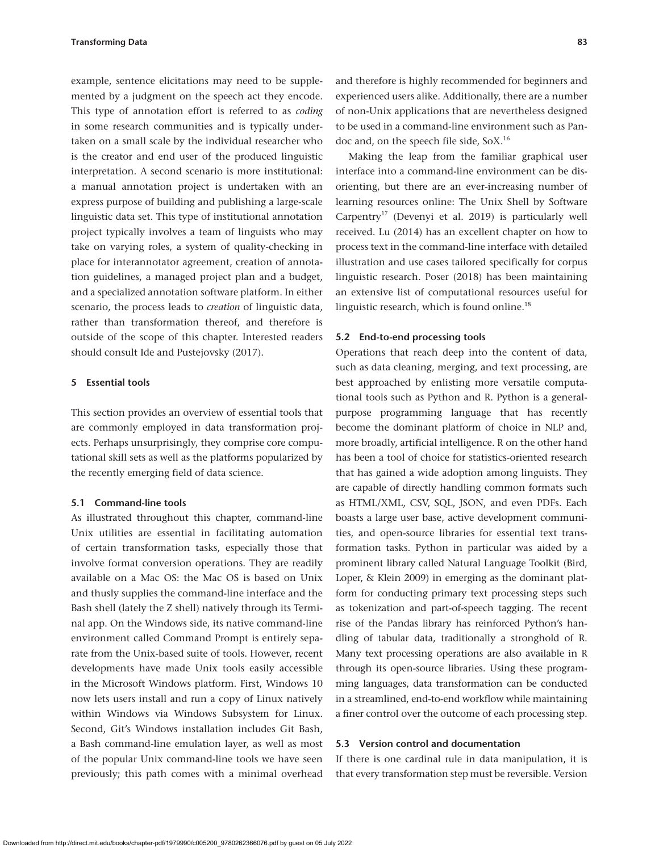example, sentence elicitations may need to be supplemented by a judgment on the speech act they encode. This type of annotation effort is referred to as *coding* in some research communities and is typically undertaken on a small scale by the individual researcher who is the creator and end user of the produced linguistic interpretation. A second scenario is more institutional: a manual annotation project is undertaken with an express purpose of building and publishing a large-scale linguistic data set. This type of institutional annotation project typically involves a team of linguists who may take on varying roles, a system of quality-checking in place for interannotator agreement, creation of annotation guidelines, a managed project plan and a budget, and a specialized annotation software platform. In either scenario, the process leads to *creation* of linguistic data, rather than transformation thereof, and therefore is outside of the scope of this chapter. Interested readers should consult Ide and Pustejovsky (2017).

#### **5 Essential tools**

This section provides an overview of essential tools that are commonly employed in data transformation projects. Perhaps unsurprisingly, they comprise core computational skill sets as well as the platforms popularized by the recently emerging field of data science.

#### **5.1 Command-line tools**

As illustrated throughout this chapter, command-line Unix utilities are essential in facilitating automation of certain transformation tasks, especially those that involve format conversion operations. They are readily available on a Mac OS: the Mac OS is based on Unix and thusly supplies the command-line interface and the Bash shell (lately the Z shell) natively through its Terminal app. On the Windows side, its native command-line environment called Command Prompt is entirely separate from the Unix-based suite of tools. However, recent developments have made Unix tools easily accessible in the Microsoft Windows platform. First, Windows 10 now lets users install and run a copy of Linux natively within Windows via Windows Subsystem for Linux. Second, Git's Windows installation includes Git Bash, a Bash command-line emulation layer, as well as most of the popular Unix command-line tools we have seen previously; this path comes with a minimal overhead

and therefore is highly recommended for beginners and experienced users alike. Additionally, there are a number of non-Unix applications that are nevertheless designed to be used in a command-line environment such as Pandoc and, on the speech file side, SoX.<sup>16</sup>

Making the leap from the familiar graphical user interface into a command-line environment can be disorienting, but there are an ever-increasing number of learning resources online: The Unix Shell by Software Carpentry<sup>17</sup> (Devenyi et al. 2019) is particularly well received. Lu (2014) has an excellent chapter on how to process text in the command-line interface with detailed illustration and use cases tailored specifically for corpus linguistic research. Poser (2018) has been maintaining an extensive list of computational resources useful for linguistic research, which is found online.<sup>18</sup>

#### **5.2 End-to-end processing tools**

Operations that reach deep into the content of data, such as data cleaning, merging, and text processing, are best approached by enlisting more versatile computational tools such as Python and R. Python is a generalpurpose programming language that has recently become the dominant platform of choice in NLP and, more broadly, artificial intelligence. R on the other hand has been a tool of choice for statistics-oriented research that has gained a wide adoption among linguists. They are capable of directly handling common formats such as HTML/XML, CSV, SQL, JSON, and even PDFs. Each boasts a large user base, active development communities, and open-source libraries for essential text transformation tasks. Python in particular was aided by a prominent library called Natural Language Toolkit (Bird, Loper, & Klein 2009) in emerging as the dominant platform for conducting primary text processing steps such as tokenization and part-of-speech tagging. The recent rise of the Pandas library has reinforced Python's handling of tabular data, traditionally a stronghold of R. Many text processing operations are also available in R through its open-source libraries. Using these programming languages, data transformation can be conducted in a streamlined, end-to-end workflow while maintaining a finer control over the outcome of each processing step.

#### **5.3 Version control and documentation**

If there is one cardinal rule in data manipulation, it is that every transformation step must be reversible. Version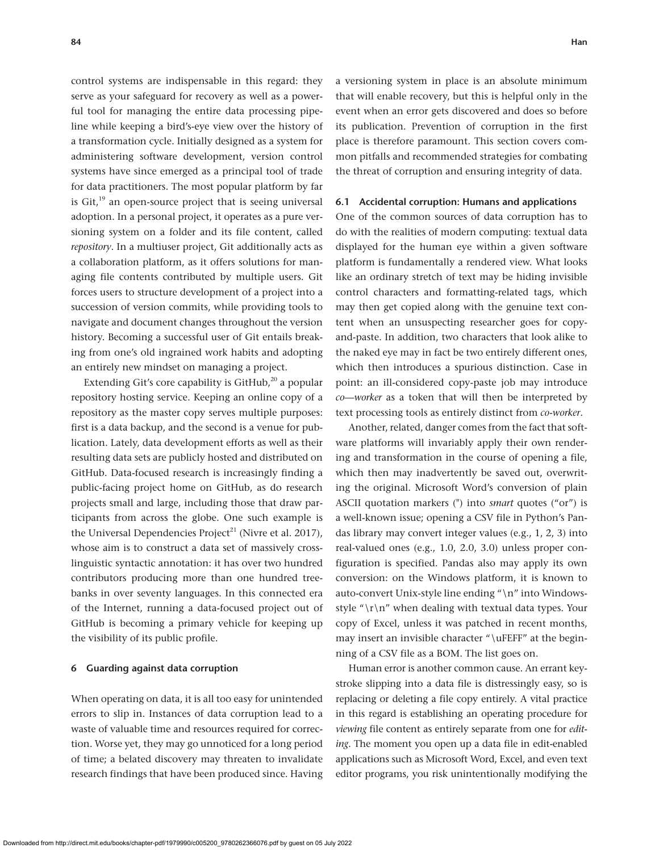control systems are indispensable in this regard: they serve as your safeguard for recovery as well as a powerful tool for managing the entire data processing pipeline while keeping a bird's-eye view over the history of a transformation cycle. Initially designed as a system for administering software development, version control systems have since emerged as a principal tool of trade for data practitioners. The most popular platform by far is  $\mathrm{Git}^{19}$  an open-source project that is seeing universal adoption. In a personal project, it operates as a pure versioning system on a folder and its file content, called *repository*. In a multiuser project, Git additionally acts as a collaboration platform, as it offers solutions for managing file contents contributed by multiple users. Git forces users to structure development of a project into a succession of version commits, while providing tools to navigate and document changes throughout the version history. Becoming a successful user of Git entails breaking from one's old ingrained work habits and adopting an entirely new mindset on managing a project.

Extending Git's core capability is GitHub, $^{20}$  a popular repository hosting service. Keeping an online copy of a repository as the master copy serves multiple purposes: first is a data backup, and the second is a venue for publication. Lately, data development efforts as well as their resulting data sets are publicly hosted and distributed on GitHub. Data-focused research is increasingly finding a public-facing project home on GitHub, as do research projects small and large, including those that draw participants from across the globe. One such example is the Universal Dependencies Project<sup>21</sup> (Nivre et al. 2017), whose aim is to construct a data set of massively crosslinguistic syntactic annotation: it has over two hundred contributors producing more than one hundred treebanks in over seventy languages. In this connected era of the Internet, running a data-focused project out of GitHub is becoming a primary vehicle for keeping up the visibility of its public profile.

#### **6 Guarding against data corruption**

When operating on data, it is all too easy for unintended errors to slip in. Instances of data corruption lead to a waste of valuable time and resources required for correction. Worse yet, they may go unnoticed for a long period of time; a belated discovery may threaten to invalidate research findings that have been produced since. Having a versioning system in place is an absolute minimum that will enable recovery, but this is helpful only in the event when an error gets discovered and does so before its publication. Prevention of corruption in the first place is therefore paramount. This section covers common pitfalls and recommended strategies for combating the threat of corruption and ensuring integrity of data.

#### **6.1 Accidental corruption: Humans and applications**

One of the common sources of data corruption has to do with the realities of modern computing: textual data displayed for the human eye within a given software platform is fundamentally a rendered view. What looks like an ordinary stretch of text may be hiding invisible control characters and formatting-related tags, which may then get copied along with the genuine text content when an unsuspecting researcher goes for copyand-paste. In addition, two characters that look alike to the naked eye may in fact be two entirely different ones, which then introduces a spurious distinction. Case in point: an ill-considered copy-paste job may introduce *co—worker* as a token that will then be interpreted by text processing tools as entirely distinct from *co-worker*.

Another, related, danger comes from the fact that software platforms will invariably apply their own rendering and transformation in the course of opening a file, which then may inadvertently be saved out, overwriting the original. Microsoft Word's conversion of plain ASCII quotation markers (") into *smart* quotes ("or") is a well-known issue; opening a CSV file in Python's Pandas library may convert integer values (e.g., 1, 2, 3) into real-valued ones (e.g., 1.0, 2.0, 3.0) unless proper configuration is specified. Pandas also may apply its own conversion: on the Windows platform, it is known to auto-convert Unix-style line ending "\n" into Windowsstyle " $\rceil \rceil \rceil$ " when dealing with textual data types. Your copy of Excel, unless it was patched in recent months, may insert an invisible character "\uFEFF" at the beginning of a CSV file as a BOM. The list goes on.

Human error is another common cause. An errant keystroke slipping into a data file is distressingly easy, so is replacing or deleting a file copy entirely. A vital practice in this regard is establishing an operating procedure for *viewing* file content as entirely separate from one for *editing*. The moment you open up a data file in edit-enabled applications such as Microsoft Word, Excel, and even text editor programs, you risk unintentionally modifying the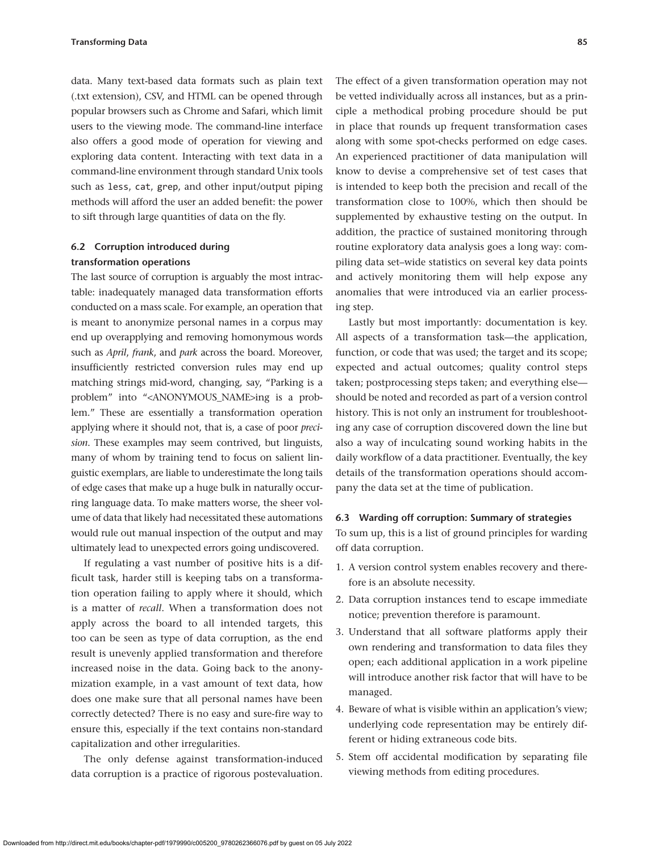data. Many text-based data formats such as plain text (.txt extension), CSV, and HTML can be opened through popular browsers such as Chrome and Safari, which limit users to the viewing mode. The command-line interface also offers a good mode of operation for viewing and exploring data content. Interacting with text data in a command-line environment through standard Unix tools such as less, cat, grep, and other input/output piping methods will afford the user an added benefit: the power to sift through large quantities of data on the fly.

# **6.2 Corruption introduced during transformation operations**

The last source of corruption is arguably the most intractable: inadequately managed data transformation efforts conducted on a mass scale. For example, an operation that is meant to anonymize personal names in a corpus may end up overapplying and removing homonymous words such as *April*, *frank*, and *park* across the board. Moreover, insufficiently restricted conversion rules may end up matching strings mid-word, changing, say, "Parking is a problem" into "<ANONYMOUS\_NAME>ing is a problem." These are essentially a transformation operation applying where it should not, that is, a case of poor *precision*. These examples may seem contrived, but linguists, many of whom by training tend to focus on salient linguistic exemplars, are liable to underestimate the long tails of edge cases that make up a huge bulk in naturally occurring language data. To make matters worse, the sheer volume of data that likely had necessitated these automations would rule out manual inspection of the output and may ultimately lead to unexpected errors going undiscovered.

If regulating a vast number of positive hits is a difficult task, harder still is keeping tabs on a transformation operation failing to apply where it should, which is a matter of *recall*. When a transformation does not apply across the board to all intended targets, this too can be seen as type of data corruption, as the end result is unevenly applied transformation and therefore increased noise in the data. Going back to the anonymization example, in a vast amount of text data, how does one make sure that all personal names have been correctly detected? There is no easy and sure-fire way to ensure this, especially if the text contains non-standard capitalization and other irregularities.

The only defense against transformation-induced data corruption is a practice of rigorous postevaluation.

The effect of a given transformation operation may not be vetted individually across all instances, but as a principle a methodical probing procedure should be put in place that rounds up frequent transformation cases along with some spot-checks performed on edge cases. An experienced practitioner of data manipulation will know to devise a comprehensive set of test cases that is intended to keep both the precision and recall of the transformation close to 100%, which then should be supplemented by exhaustive testing on the output. In addition, the practice of sustained monitoring through routine exploratory data analysis goes a long way: compiling data set–wide statistics on several key data points and actively monitoring them will help expose any anomalies that were introduced via an earlier processing step.

Lastly but most importantly: documentation is key. All aspects of a transformation task—the application, function, or code that was used; the target and its scope; expected and actual outcomes; quality control steps taken; postprocessing steps taken; and everything else should be noted and recorded as part of a version control history. This is not only an instrument for troubleshooting any case of corruption discovered down the line but also a way of inculcating sound working habits in the daily workflow of a data practitioner. Eventually, the key details of the transformation operations should accompany the data set at the time of publication.

#### **6.3 Warding off corruption: Summary of strategies**

To sum up, this is a list of ground principles for warding off data corruption.

- 1. A version control system enables recovery and therefore is an absolute necessity.
- 2. Data corruption instances tend to escape immediate notice; prevention therefore is paramount.
- 3. Understand that all software platforms apply their own rendering and transformation to data files they open; each additional application in a work pipeline will introduce another risk factor that will have to be managed.
- 4. Beware of what is visible within an application's view; underlying code representation may be entirely different or hiding extraneous code bits.
- 5. Stem off accidental modification by separating file viewing methods from editing procedures.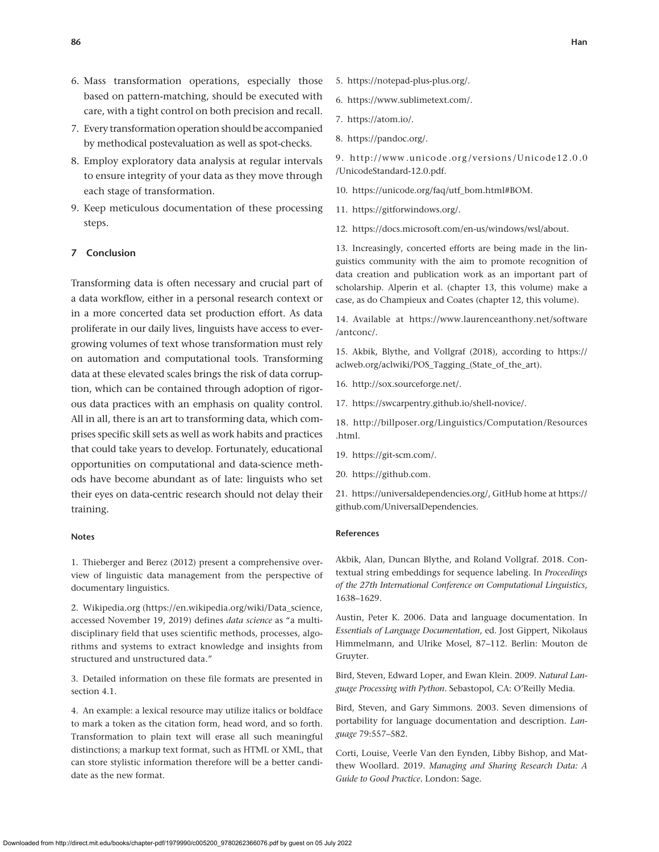- 6. Mass transformation operations, especially those based on pattern-matching, should be executed with care, with a tight control on both precision and recall.
- 7. Every transformation operation should be accompanied by methodical postevaluation as well as spot-checks.
- 8. Employ exploratory data analysis at regular intervals to ensure integrity of your data as they move through each stage of transformation.
- 9. Keep meticulous documentation of these processing steps.

#### **7 Conclusion**

Transforming data is often necessary and crucial part of a data workflow, either in a personal research context or in a more concerted data set production effort. As data proliferate in our daily lives, linguists have access to evergrowing volumes of text whose transformation must rely on automation and computational tools. Transforming data at these elevated scales brings the risk of data corruption, which can be contained through adoption of rigorous data practices with an emphasis on quality control. All in all, there is an art to transforming data, which comprises specific skill sets as well as work habits and practices that could take years to develop. Fortunately, educational opportunities on computational and data-science methods have become abundant as of late: linguists who set their eyes on data-centric research should not delay their training.

#### **Notes**

1. Thieberger and Berez (2012) present a comprehensive overview of linguistic data management from the perspective of documentary linguistics.

2. Wikipedia.org [\(https://en.wikipedia.org/wiki/Data\\_science,](https://en.wikipedia.org/wiki/Data_science) accessed November 19, 2019) defines *data science* as "a multidisciplinary field that uses scientific methods, processes, algorithms and systems to extract knowledge and insights from structured and unstructured data."

3. Detailed information on these file formats are presented in section 4.1.

4. An example: a lexical resource may utilize italics or boldface to mark a token as the citation form, head word, and so forth. Transformation to plain text will erase all such meaningful distinctions; a markup text format, such as HTML or XML, that can store stylistic information therefore will be a better candidate as the new format.

- 5. [https://notepad-plus-plus.org/.](https://notepad-plus-plus.org/)
- 6. [https://www.sublimetext.com/.](https://www.sublimetext.com/)
- 7. <https://atom.io/>.
- 8. [https://pandoc.org/.](https://pandoc.org/)

9. http://www .unicode .org /versions [/Unicode12](http://www.unicode.org/versions/Unicode12.0.0/UnicodeStandard-12.0.pdf) .0 .0 [/UnicodeStandard-12.0.pdf.](http://www.unicode.org/versions/Unicode12.0.0/UnicodeStandard-12.0.pdf)

- 10. [https://unicode.org/faq/utf\\_bom.html#BOM.](https://unicode.org/faq/utf_bom.html#BOM)
- 11. [https://gitforwindows.org/.](https://gitforwindows.org/)
- 12. [https://docs.microsoft.com/en-us/windows/wsl/about.](https://docs.microsoft.com/en-us/windows/wsl/about)

13. Increasingly, concerted efforts are being made in the linguistics community with the aim to promote recognition of data creation and publication work as an important part of scholarship. Alperin et al. (chapter 13, this volume) make a case, as do Champieux and Coates (chapter 12, this volume).

14. Available at [https://www.laurenceanthony.net/software](https://www.laurenceanthony.net/software/antconc/) [/antconc/.](https://www.laurenceanthony.net/software/antconc/)

15. Akbik, Blythe, and Vollgraf (2018), according to [https://](https://aclweb.org/aclwiki/POS_Tagging_(State_of_the_art) [aclweb.org/aclwiki/POS\\_Tagging\\_\(State\\_of\\_the\\_art\)](https://aclweb.org/aclwiki/POS_Tagging_(State_of_the_art).

- 16. [http://sox.sourceforge.net/.](http://sox.sourceforge.net/)
- 17. <https://swcarpentry.github.io/shell-novice/>.

18. [http://billposer.org/Linguistics/Computation/Resources](http://billposer.org/Linguistics/Computation/Resources.html) [.html](http://billposer.org/Linguistics/Computation/Resources.html).

- 19. [https://git-scm.com/.](https://git-scm.com/)
- 20. <https://github.com>.

21. [https://universaldependencies.org/,](https://universaldependencies.org/) GitHub home at [https://](https://github.com/UniversalDependencies) [github.com/UniversalDependencies](https://github.com/UniversalDependencies).

#### **References**

Akbik, Alan, Duncan Blythe, and Roland Vollgraf. 2018. Contextual string embeddings for sequence labeling. In *Proceedings of the 27th International Conference on Computational Linguistics*, 1638–1629.

Austin, Peter K. 2006. Data and language documentation. In *Essentials of Language Documentation*, ed. Jost Gippert, Nikolaus Himmelmann, and Ulrike Mosel, 87–112. Berlin: Mouton de Gruyter.

Bird, Steven, Edward Loper, and Ewan Klein. 2009. *Natural Language Processing with Python*. Sebastopol, CA: O'Reilly Media.

Bird, Steven, and Gary Simmons. 2003. Seven dimensions of portability for language documentation and description. *Language* 79:557–582.

Corti, Louise, Veerle Van den Eynden, Libby Bishop, and Matthew Woollard. 2019. *Managing and Sharing Research Data: A Guide to Good Practice*. London: Sage.